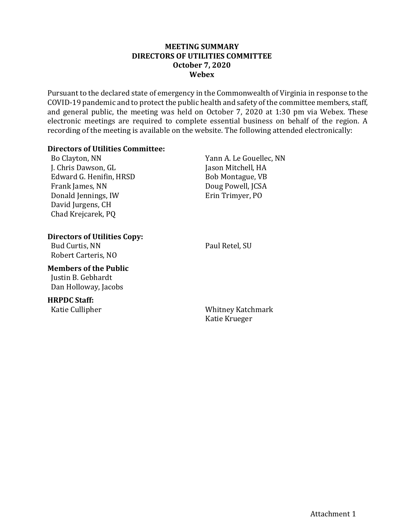#### **MEETING SUMMARY DIRECTORS OF UTILITIES COMMITTEE October 7, 2020 Webex**

Pursuant to the declared state of emergency in the Commonwealth of Virginia in response to the COVID-19 pandemic and to protect the public health and safety of the committee members, staff, and general public, the meeting was held on October 7, 2020 at 1:30 pm via Webex. These electronic meetings are required to complete essential business on behalf of the region. A recording of the meeting is available on the website. The following attended electronically:

#### **Directors of Utilities Committee:**

Bo Clayton, NN J. Chris Dawson, GL Edward G. Henifin, HRSD Frank James, NN Donald Jennings, IW David Jurgens, CH Chad Krejcarek, PQ

Yann A. Le Gouellec, NN Jason Mitchell, HA Bob Montague, VB Doug Powell, JCSA Erin Trimyer, PO

# **Directors of Utilities Copy:**

Bud Curtis, NN Robert Carteris, NO Paul Retel, SU

# **Members of the Public**

Justin B. Gebhardt Dan Holloway, Jacobs

## **HRPDC Staff:**

Katie Cullipher Whitney Katchmark Katie Krueger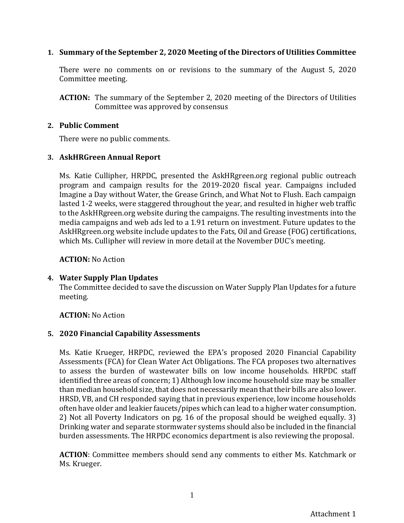## **1. Summary of the September 2, 2020 Meeting of the Directors of Utilities Committee**

There were no comments on or revisions to the summary of the August 5, 2020 Committee meeting.

**ACTION:** The summary of the September 2, 2020 meeting of the Directors of Utilities Committee was approved by consensus

#### **2. Public Comment**

There were no public comments.

#### **3. AskHRGreen Annual Report**

Ms. Katie Cullipher, HRPDC, presented the AskHRgreen.org regional public outreach program and campaign results for the 2019-2020 fiscal year. Campaigns included Imagine a Day without Water, the Grease Grinch, and What Not to Flush. Each campaign lasted 1-2 weeks, were staggered throughout the year, and resulted in higher web traffic to the AskHRgreen.org website during the campaigns. The resulting investments into the media campaigns and web ads led to a 1.91 return on investment. Future updates to the AskHRgreen.org website include updates to the Fats, Oil and Grease (FOG) certifications, which Ms. Cullipher will review in more detail at the November DUC's meeting.

**ACTION:** No Action

## **4. Water Supply Plan Updates**

The Committee decided to save the discussion on Water Supply Plan Updates for a future meeting.

## **ACTION:** No Action

## **5. 2020 Financial Capability Assessments**

Ms. Katie Krueger, HRPDC, reviewed the EPA's proposed 2020 Financial Capability Assessments (FCA) for Clean Water Act Obligations. The FCA proposes two alternatives to assess the burden of wastewater bills on low income households. HRPDC staff identified three areas of concern; 1) Although low income household size may be smaller than median household size, that does not necessarily mean that their bills are also lower. HRSD, VB, and CH responded saying that in previous experience, low income households often have older and leakier faucets/pipes which can lead to a higher water consumption. 2) Not all Poverty Indicators on pg. 16 of the proposal should be weighed equally. 3) Drinking water and separate stormwater systems should also be included in the financial burden assessments. The HRPDC economics department is also reviewing the proposal.

**ACTION**: Committee members should send any comments to either Ms. Katchmark or Ms. Krueger.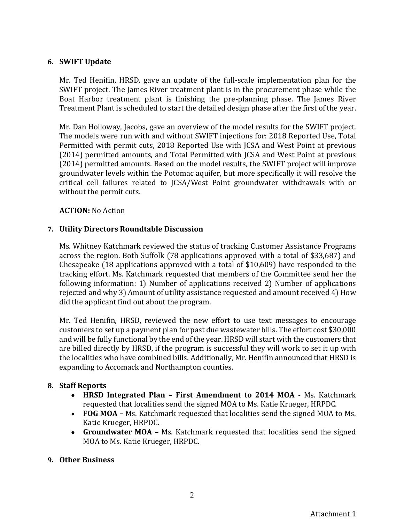## **6. SWIFT Update**

Mr. Ted Henifin, HRSD, gave an update of the full-scale implementation plan for the SWIFT project. The James River treatment plant is in the procurement phase while the Boat Harbor treatment plant is finishing the pre-planning phase. The James River Treatment Plant is scheduled to start the detailed design phase after the first of the year.

Mr. Dan Holloway, Jacobs, gave an overview of the model results for the SWIFT project. The models were run with and without SWIFT injections for: 2018 Reported Use, Total Permitted with permit cuts, 2018 Reported Use with JCSA and West Point at previous (2014) permitted amounts, and Total Permitted with JCSA and West Point at previous (2014) permitted amounts. Based on the model results, the SWIFT project will improve groundwater levels within the Potomac aquifer, but more specifically it will resolve the critical cell failures related to JCSA/West Point groundwater withdrawals with or without the permit cuts.

## **ACTION:** No Action

## **7. Utility Directors Roundtable Discussion**

Ms. Whitney Katchmark reviewed the status of tracking Customer Assistance Programs across the region. Both Suffolk (78 applications approved with a total of \$33,687) and Chesapeake (18 applications approved with a total of \$10,609) have responded to the tracking effort. Ms. Katchmark requested that members of the Committee send her the following information: 1) Number of applications received 2) Number of applications rejected and why 3) Amount of utility assistance requested and amount received 4) How did the applicant find out about the program.

Mr. Ted Henifin, HRSD, reviewed the new effort to use text messages to encourage customers to set up a payment plan for past due wastewater bills. The effort cost \$30,000 and will be fully functional by the end of the year. HRSD will start with the customers that are billed directly by HRSD, if the program is successful they will work to set it up with the localities who have combined bills. Additionally, Mr. Henifin announced that HRSD is expanding to Accomack and Northampton counties.

#### **8. Staff Reports**

- **HRSD Integrated Plan – First Amendment to 2014 MOA -** Ms. Katchmark requested that localities send the signed MOA to Ms. Katie Krueger, HRPDC.
- **FOG MOA –** Ms. Katchmark requested that localities send the signed MOA to Ms. Katie Krueger, HRPDC.
- **Groundwater MOA –** Ms. Katchmark requested that localities send the signed MOA to Ms. Katie Krueger, HRPDC.

## **9. Other Business**